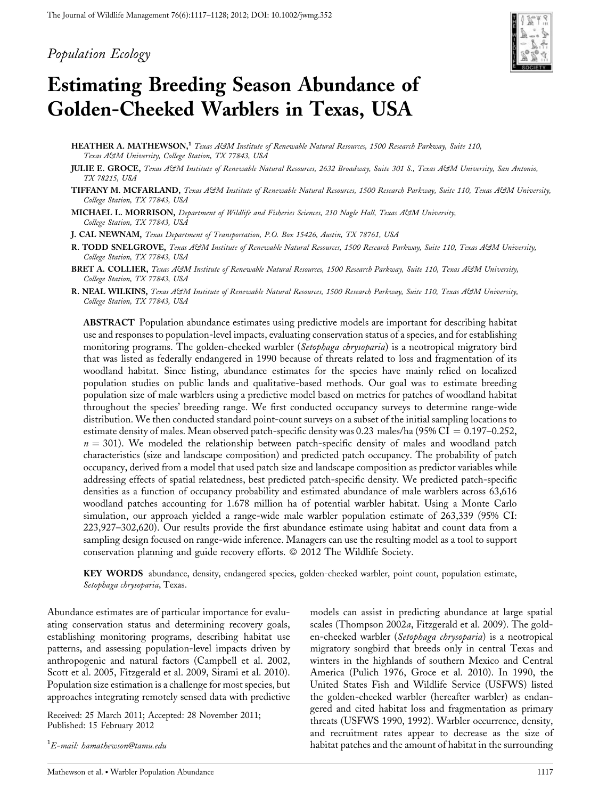# Population Ecology



# Estimating Breeding Season Abundance of Golden-Cheeked Warblers in Texas, USA

- HEATHER A. MATHEWSON,<sup>1</sup> Texas A&M Institute of Renewable Natural Resources, 1500 Research Parkway, Suite 110, Texas A&M University, College Station, TX 77843, USA
- JULIE E. GROCE, Texas A&M Institute of Renewable Natural Resources, 2632 Broadway, Suite 301 S., Texas A&M University, San Antonio, TX 78215, USA
- TIFFANY M. MCFARLAND, Texas A&M Institute of Renewable Natural Resources, 1500 Research Parkway, Suite 110, Texas A&M University, College Station, TX 77843, USA
- MICHAEL L. MORRISON, Department of Wildlife and Fisheries Sciences, 210 Nagle Hall, Texas A&M University, College Station, TX 77843, USA
- J. CAL NEWNAM, Texas Department of Transportation, P.O. Box 15426, Austin, TX 78761, USA
- R. TODD SNELGROVE, Texas A&M Institute of Renewable Natural Resources, 1500 Research Parkway, Suite 110, Texas A&M University, College Station, TX 77843, USA
- BRET A. COLLIER, Texas A&M Institute of Renewable Natural Resources, 1500 Research Parkway, Suite 110, Texas A&M University, College Station, TX 77843, USA
- R. NEAL WILKINS, Texas A&M Institute of Renewable Natural Resources, 1500 Research Parkway, Suite 110, Texas A&M University, College Station, TX 77843, USA

ABSTRACT Population abundance estimates using predictive models are important for describing habitat use and responses to population-level impacts, evaluating conservation status of a species, and for establishing monitoring programs. The golden-cheeked warbler (Setophaga chrysoparia) is a neotropical migratory bird that was listed as federally endangered in 1990 because of threats related to loss and fragmentation of its woodland habitat. Since listing, abundance estimates for the species have mainly relied on localized population studies on public lands and qualitative-based methods. Our goal was to estimate breeding population size of male warblers using a predictive model based on metrics for patches of woodland habitat throughout the species' breeding range. We first conducted occupancy surveys to determine range-wide distribution. We then conducted standard point-count surveys on a subset of the initial sampling locations to estimate density of males. Mean observed patch-specific density was 0.23 males/ha (95% CI = 0.197–0.252,  $n = 301$ ). We modeled the relationship between patch-specific density of males and woodland patch characteristics (size and landscape composition) and predicted patch occupancy. The probability of patch occupancy, derived from a model that used patch size and landscape composition as predictor variables while addressing effects of spatial relatedness, best predicted patch-specific density. We predicted patch-specific densities as a function of occupancy probability and estimated abundance of male warblers across 63,616 woodland patches accounting for 1.678 million ha of potential warbler habitat. Using a Monte Carlo simulation, our approach yielded a range-wide male warbler population estimate of 263,339 (95% CI: 223,927–302,620). Our results provide the first abundance estimate using habitat and count data from a sampling design focused on range-wide inference. Managers can use the resulting model as a tool to support conservation planning and guide recovery efforts.  $\odot$  2012 The Wildlife Society.

KEY WORDS abundance, density, endangered species, golden-cheeked warbler, point count, population estimate, Setophaga chrysoparia, Texas.

Abundance estimates are of particular importance for evaluating conservation status and determining recovery goals, establishing monitoring programs, describing habitat use patterns, and assessing population-level impacts driven by anthropogenic and natural factors (Campbell et al. 2002, Scott et al. 2005, Fitzgerald et al. 2009, Sirami et al. 2010). Population size estimation is a challenge for most species, but approaches integrating remotely sensed data with predictive

Received: 25 March 2011; Accepted: 28 November 2011; Published: 15 February 2012

 $^1\!E$ -mail: hamathewson@tamu.edu

models can assist in predicting abundance at large spatial scales (Thompson 2002a, Fitzgerald et al. 2009). The golden-cheeked warbler (Setophaga chrysoparia) is a neotropical migratory songbird that breeds only in central Texas and winters in the highlands of southern Mexico and Central America (Pulich 1976, Groce et al. 2010). In 1990, the United States Fish and Wildlife Service (USFWS) listed the golden-cheeked warbler (hereafter warbler) as endangered and cited habitat loss and fragmentation as primary threats (USFWS 1990, 1992). Warbler occurrence, density, and recruitment rates appear to decrease as the size of habitat patches and the amount of habitat in the surrounding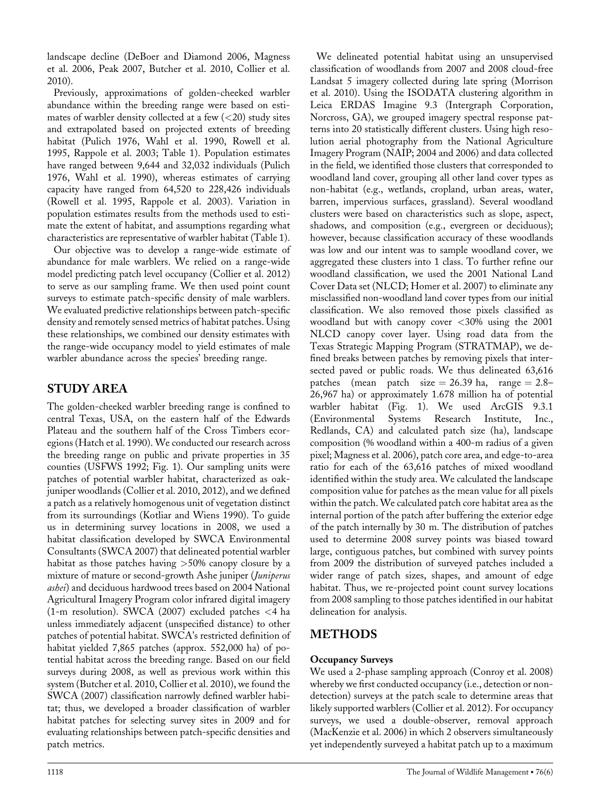landscape decline (DeBoer and Diamond 2006, Magness et al. 2006, Peak 2007, Butcher et al. 2010, Collier et al. 2010).

Previously, approximations of golden-cheeked warbler abundance within the breeding range were based on estimates of warbler density collected at a few  $(<20)$  study sites and extrapolated based on projected extents of breeding habitat (Pulich 1976, Wahl et al. 1990, Rowell et al. 1995, Rappole et al. 2003; Table 1). Population estimates have ranged between 9,644 and 32,032 individuals (Pulich 1976, Wahl et al. 1990), whereas estimates of carrying capacity have ranged from 64,520 to 228,426 individuals (Rowell et al. 1995, Rappole et al. 2003). Variation in population estimates results from the methods used to estimate the extent of habitat, and assumptions regarding what characteristics are representative of warbler habitat (Table 1).

Our objective was to develop a range-wide estimate of abundance for male warblers. We relied on a range-wide model predicting patch level occupancy (Collier et al. 2012) to serve as our sampling frame. We then used point count surveys to estimate patch-specific density of male warblers. We evaluated predictive relationships between patch-specific density and remotely sensed metrics of habitat patches. Using these relationships, we combined our density estimates with the range-wide occupancy model to yield estimates of male warbler abundance across the species' breeding range.

# STUDY AREA

The golden-cheeked warbler breeding range is confined to central Texas, USA, on the eastern half of the Edwards Plateau and the southern half of the Cross Timbers ecoregions (Hatch et al. 1990). We conducted our research across the breeding range on public and private properties in 35 counties (USFWS 1992; Fig. 1). Our sampling units were patches of potential warbler habitat, characterized as oakjuniper woodlands (Collier et al. 2010, 2012), and we defined a patch as a relatively homogenous unit of vegetation distinct from its surroundings (Kotliar and Wiens 1990). To guide us in determining survey locations in 2008, we used a habitat classification developed by SWCA Environmental Consultants (SWCA 2007) that delineated potential warbler habitat as those patches having >50% canopy closure by a mixture of mature or second-growth Ashe juniper (Juniperus ashei) and deciduous hardwood trees based on 2004 National Agricultural Imagery Program color infrared digital imagery (1-m resolution). SWCA (2007) excluded patches <4 ha unless immediately adjacent (unspecified distance) to other patches of potential habitat. SWCA's restricted definition of habitat yielded 7,865 patches (approx. 552,000 ha) of potential habitat across the breeding range. Based on our field surveys during 2008, as well as previous work within this system (Butcher et al. 2010, Collier et al. 2010), we found the SWCA (2007) classification narrowly defined warbler habitat; thus, we developed a broader classification of warbler habitat patches for selecting survey sites in 2009 and for evaluating relationships between patch-specific densities and patch metrics.

Leica ERDAS Imagine 9.3 (Intergraph Corporation, Norcross, GA), we grouped imagery spectral response patterns into 20 statistically different clusters. Using high resolution aerial photography from the National Agriculture Imagery Program (NAIP; 2004 and 2006) and data collected in the field, we identified those clusters that corresponded to woodland land cover, grouping all other land cover types as non-habitat (e.g., wetlands, cropland, urban areas, water, barren, impervious surfaces, grassland). Several woodland clusters were based on characteristics such as slope, aspect, shadows, and composition (e.g., evergreen or deciduous); however, because classification accuracy of these woodlands was low and our intent was to sample woodland cover, we aggregated these clusters into 1 class. To further refine our woodland classification, we used the 2001 National Land Cover Data set (NLCD; Homer et al. 2007) to eliminate any misclassified non-woodland land cover types from our initial classification. We also removed those pixels classified as woodland but with canopy cover <30% using the 2001 NLCD canopy cover layer. Using road data from the Texas Strategic Mapping Program (STRATMAP), we defined breaks between patches by removing pixels that intersected paved or public roads. We thus delineated 63,616 patches (mean patch size  $= 26.39$  ha, range  $= 2.8-$ 26,967 ha) or approximately 1.678 million ha of potential warbler habitat (Fig. 1). We used ArcGIS 9.3.1 (Environmental Systems Research Institute, Inc., Redlands, CA) and calculated patch size (ha), landscape composition (% woodland within a 400-m radius of a given pixel; Magness et al. 2006), patch core area, and edge-to-area ratio for each of the 63,616 patches of mixed woodland identified within the study area. We calculated the landscape composition value for patches as the mean value for all pixels within the patch. We calculated patch core habitat area as the internal portion of the patch after buffering the exterior edge of the patch internally by 30 m. The distribution of patches used to determine 2008 survey points was biased toward large, contiguous patches, but combined with survey points from 2009 the distribution of surveyed patches included a wider range of patch sizes, shapes, and amount of edge habitat. Thus, we re-projected point count survey locations from 2008 sampling to those patches identified in our habitat delineation for analysis.

We delineated potential habitat using an unsupervised classification of woodlands from 2007 and 2008 cloud-free Landsat 5 imagery collected during late spring (Morrison et al. 2010). Using the ISODATA clustering algorithm in

# METHODS

## Occupancy Surveys

We used a 2-phase sampling approach (Conroy et al. 2008) whereby we first conducted occupancy (i.e., detection or nondetection) surveys at the patch scale to determine areas that likely supported warblers (Collier et al. 2012). For occupancy surveys, we used a double-observer, removal approach (MacKenzie et al. 2006) in which 2 observers simultaneously yet independently surveyed a habitat patch up to a maximum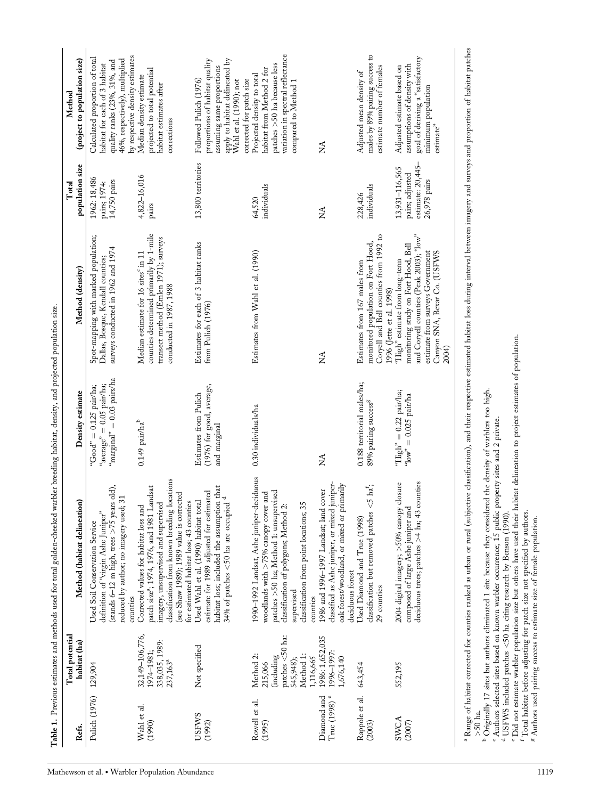| Refs.                                 | Total potential<br>habitat (ha)                                                             | Method (habitat delineation)                                                                                                                                                                                                                                                   | Density estimate                                                     | Method (density)                                                                                                                                                                              | population size<br>Total                                               | (project to population size)<br>Method                                                                                                                                         |
|---------------------------------------|---------------------------------------------------------------------------------------------|--------------------------------------------------------------------------------------------------------------------------------------------------------------------------------------------------------------------------------------------------------------------------------|----------------------------------------------------------------------|-----------------------------------------------------------------------------------------------------------------------------------------------------------------------------------------------|------------------------------------------------------------------------|--------------------------------------------------------------------------------------------------------------------------------------------------------------------------------|
| Pulich (1976) 129,904                 |                                                                                             | definition of "virgin Ashe Juniper"<br>Used Soil Conservation Service                                                                                                                                                                                                          | "average" = $0.05$ pair/ha;<br>"Good" = $0.125$ pair/ha;             | Spot-mapping with marked population;<br>Dallas, Bosque, Kendall counties;                                                                                                                     | 1962: 18,486<br>pairs; 1974:                                           | Calculated proportion of total<br>habitat for each of 3 habitat                                                                                                                |
|                                       |                                                                                             | (stands 6–12 m high, trees $>$ 75 years old),<br>reduced by author; no imagery used; 31<br>counties                                                                                                                                                                            | "marginal" $= 0.03$ pairs/ha                                         | surveys conducted in 1962 and 1974                                                                                                                                                            | 14,750 pairs                                                           | by respective density estimates<br>46%, respectively), multiplied<br>quality ranks (23%, 31%, and                                                                              |
| Wahl et al.<br>(1990)                 | 32,149-106,776,<br>338,035, 1989:<br>1974-1981;<br>237,163 <sup>ª</sup>                     | classification from known breeding locations<br>oatch size <sup>a</sup> ; 1974, 1976, and 1981 Landsat<br>(see Shaw 1989); 1989 value is corrected<br>for estimated habitat loss; 43 counties<br>imagery, unsupervised and supervised<br>Corrected values for habitat loss and | $0.149$ pair/ha <sup>b</sup>                                         | counties determined primarily by 1-mile<br>transect method (Emlen 1971); surveys<br>Median estimate for 16 sites <sup>c</sup> in 11<br>conducted in 1987, 1988                                | 4,822-16,016<br>pairs                                                  | projected to total potential<br>Median density estimate<br>habitat estimates after<br>corrections                                                                              |
| <b>USFWS</b><br>(1992)                | Not specified                                                                               | habitat loss; included the assumption that<br>estimate for 1989 adjusted for estimated<br>34% of patches <50 ha are occupied <sup>d</sup><br>Used Wahl et al. (1990) habitat total                                                                                             | $(1976)$ for good, average,<br>Estimates from Pulich<br>and marginal | Estimates for each of 3 habitat ranks<br>from Pulich (1976)                                                                                                                                   | 13,800 territories                                                     | apply to habitat delineated by<br>proportions of habitat quality<br>assuming same proportions<br>Followed Pulich (1976)<br>corrected for patch size<br>Wahl et al. (1990); not |
| Rowell et al.<br>(1995)               | patches <50 ha:<br>Method 1:<br>Method 2:<br>including<br>1,116,665<br>545,948);<br>215,066 | 1990-1992 Landsat, Ashe juniper-deciduous<br>patches >50 ha; Method 1: unsupervised<br>woodlands with $>75\%$ canopy cover and<br>classification from point locations; 35<br>classification of polygons; Method 2:<br>supervised<br>counties                                   | 0.30 individuals/ha                                                  | Estimates from Wahl et al. (1990)                                                                                                                                                             | individuals<br>64,520                                                  | variation in spectral reflectance<br>patches >50 ha because less<br>habitat from Method 2 for<br>Projected density to total<br>compared to Method 1                            |
| True (1998) $^{\rm e}$<br>Diamond and | 1986: 1,652,035<br>1996-1997:<br>1,676,140                                                  | classified as Ashe juniper, or mixed juniper-<br>oak forest/woodland, or mixed or primarily<br>1986 and 1996-1997 Landsat; land cover<br>deciduous forest                                                                                                                      | Ž                                                                    | Ž                                                                                                                                                                                             | NA                                                                     | ΧÁ                                                                                                                                                                             |
| Rappole et al. 643,454<br>(2003)      |                                                                                             | ha <sup>f</sup> ;<br>classification but removed patches <5<br>Used Diamond and True (1998)<br>29 counties                                                                                                                                                                      | 0.188 territorial males/ha;<br>89% pairing success <sup>g</sup>      | Coryell and Bell counties from 1992 to<br>monitored population on Fort Hood,<br>Estimates from 167 males from<br>1996 (Jette et al. 1998)                                                     | individuals<br>228,426                                                 | males by 89% pairing success to<br>estimate number of females<br>Adjusted mean density of                                                                                      |
| SWCA<br>(2007)                        | 552,195                                                                                     | deciduous trees; patches >4 ha; 43 counties<br>2004 digital imagery; >50% canopy closure<br>composed of large Ashe juniper and                                                                                                                                                 | "High" = $0.22$ pair/ha;<br>"low" = $0.025$ pair/ha                  | and Coryell counties (Peak 2003); "low"<br>monitoring study on Fort Hood, Bell<br>Canyon SNA, Bexar Co. (USFWS<br>estimate from surveys Government<br>"High" estimate from long-term<br>2004) | estimate: 20,445-<br>13,931-116,565<br>pairs; adjusted<br>26,978 pairs | goal of deriving a "satisfactory<br>assumptions of density with<br>Adjusted estimate based on<br>minimum population<br>estimate"                                               |
|                                       |                                                                                             |                                                                                                                                                                                                                                                                                |                                                                      |                                                                                                                                                                                               |                                                                        |                                                                                                                                                                                |

Table 1. Previous estimates and methods used for total golden-cheeked warbler breeding habitat, density, and projected population size. Table 1. Previous estimates and methods used for total golden-cheeked warbler breeding habitat, density, and projected population size. <sup>a</sup> Range of habitat corrected for counties ranked as urban or rural (subjective classification), and their respective estimated habitat loss during interval between imagery and surveys and proportion of habitat patches Range of habitat corrected for counties ranked as urban or rural (subjective classification), and their respective estimated habitat loss during interval between imagery and surveys and proportion of habitat patches >50 ha.

ن ص Originally 17 sites but authors eliminated 1 site because they considered the density of warblers too high.

Authors selected sites based on known warbler occurrence; 15 public property sites and 2 private.

 $^{\rm d}$  USFWS included patches <50 ha citing research by Benson (1990). USFWS included patches <50 ha citing research by Benson (1990).

efDid not estimate warbler population size but others have used their habitat delineation to project estimates of population.

Total habitat before adjusting for patch size not specified by authors.

<sup>g</sup> Authors used pairing success to estimate size of female population. Authors used pairing success to estimate size of female population.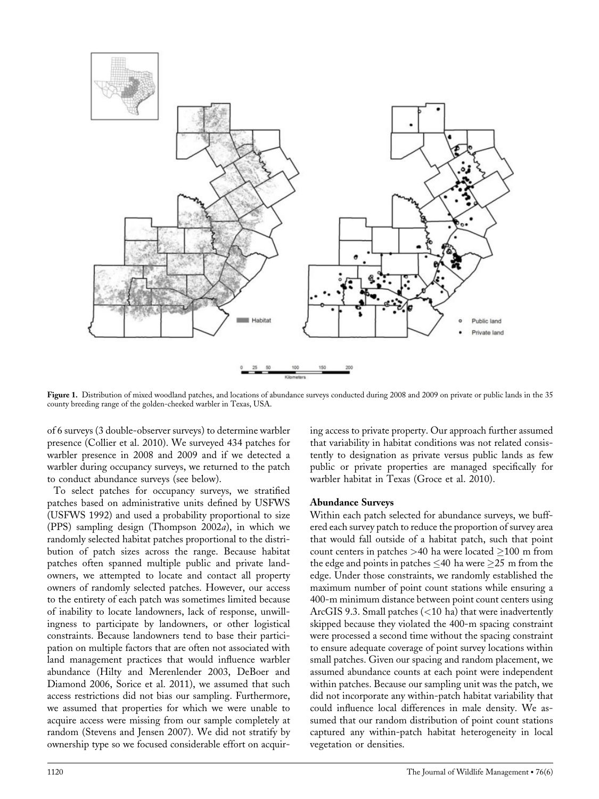

Figure 1. Distribution of mixed woodland patches, and locations of abundance surveys conducted during 2008 and 2009 on private or public lands in the 35 county breeding range of the golden-cheeked warbler in Texas, USA.

of 6 surveys (3 double-observer surveys) to determine warbler presence (Collier et al. 2010). We surveyed 434 patches for warbler presence in 2008 and 2009 and if we detected a warbler during occupancy surveys, we returned to the patch to conduct abundance surveys (see below).

To select patches for occupancy surveys, we stratified patches based on administrative units defined by USFWS (USFWS 1992) and used a probability proportional to size (PPS) sampling design (Thompson 2002a), in which we randomly selected habitat patches proportional to the distribution of patch sizes across the range. Because habitat patches often spanned multiple public and private landowners, we attempted to locate and contact all property owners of randomly selected patches. However, our access to the entirety of each patch was sometimes limited because of inability to locate landowners, lack of response, unwillingness to participate by landowners, or other logistical constraints. Because landowners tend to base their participation on multiple factors that are often not associated with land management practices that would influence warbler abundance (Hilty and Merenlender 2003, DeBoer and Diamond 2006, Sorice et al. 2011), we assumed that such access restrictions did not bias our sampling. Furthermore, we assumed that properties for which we were unable to acquire access were missing from our sample completely at random (Stevens and Jensen 2007). We did not stratify by ownership type so we focused considerable effort on acquiring access to private property. Our approach further assumed that variability in habitat conditions was not related consistently to designation as private versus public lands as few public or private properties are managed specifically for warbler habitat in Texas (Groce et al. 2010).

#### Abundance Surveys

Within each patch selected for abundance surveys, we buffered each survey patch to reduce the proportion of survey area that would fall outside of a habitat patch, such that point count centers in patches  $>$ 40 ha were located  $\geq$ 100 m from the edge and points in patches  $\leq$ 40 ha were  $\geq$ 25 m from the edge. Under those constraints, we randomly established the maximum number of point count stations while ensuring a 400-m minimum distance between point count centers using ArcGIS 9.3. Small patches (<10 ha) that were inadvertently skipped because they violated the 400-m spacing constraint were processed a second time without the spacing constraint to ensure adequate coverage of point survey locations within small patches. Given our spacing and random placement, we assumed abundance counts at each point were independent within patches. Because our sampling unit was the patch, we did not incorporate any within-patch habitat variability that could influence local differences in male density. We assumed that our random distribution of point count stations captured any within-patch habitat heterogeneity in local vegetation or densities.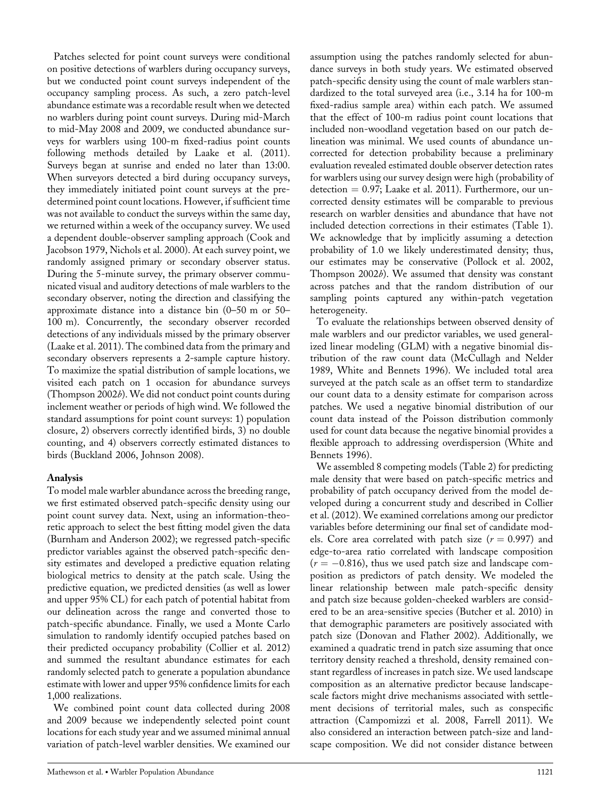Patches selected for point count surveys were conditional on positive detections of warblers during occupancy surveys, but we conducted point count surveys independent of the occupancy sampling process. As such, a zero patch-level abundance estimate was a recordable result when we detected no warblers during point count surveys. During mid-March to mid-May 2008 and 2009, we conducted abundance surveys for warblers using 100-m fixed-radius point counts following methods detailed by Laake et al. (2011). Surveys began at sunrise and ended no later than 13:00. When surveyors detected a bird during occupancy surveys, they immediately initiated point count surveys at the predetermined point count locations. However, if sufficient time was not available to conduct the surveys within the same day, we returned within a week of the occupancy survey. We used a dependent double-observer sampling approach (Cook and Jacobson 1979, Nichols et al. 2000). At each survey point, we randomly assigned primary or secondary observer status. During the 5-minute survey, the primary observer communicated visual and auditory detections of male warblers to the secondary observer, noting the direction and classifying the approximate distance into a distance bin (0–50 m or 50– 100 m). Concurrently, the secondary observer recorded detections of any individuals missed by the primary observer (Laake et al. 2011). The combined data from the primary and secondary observers represents a 2-sample capture history. To maximize the spatial distribution of sample locations, we visited each patch on 1 occasion for abundance surveys (Thompson 2002b). We did not conduct point counts during inclement weather or periods of high wind. We followed the standard assumptions for point count surveys: 1) population closure, 2) observers correctly identified birds, 3) no double counting, and 4) observers correctly estimated distances to birds (Buckland 2006, Johnson 2008).

#### Analysis

To model male warbler abundance across the breeding range, we first estimated observed patch-specific density using our point count survey data. Next, using an information-theoretic approach to select the best fitting model given the data (Burnham and Anderson 2002); we regressed patch-specific predictor variables against the observed patch-specific density estimates and developed a predictive equation relating biological metrics to density at the patch scale. Using the predictive equation, we predicted densities (as well as lower and upper 95% CL) for each patch of potential habitat from our delineation across the range and converted those to patch-specific abundance. Finally, we used a Monte Carlo simulation to randomly identify occupied patches based on their predicted occupancy probability (Collier et al. 2012) and summed the resultant abundance estimates for each randomly selected patch to generate a population abundance estimate with lower and upper 95% confidence limits for each 1,000 realizations.

We combined point count data collected during 2008 and 2009 because we independently selected point count locations for each study year and we assumed minimal annual variation of patch-level warbler densities. We examined our

assumption using the patches randomly selected for abundance surveys in both study years. We estimated observed patch-specific density using the count of male warblers standardized to the total surveyed area (i.e., 3.14 ha for 100-m fixed-radius sample area) within each patch. We assumed that the effect of 100-m radius point count locations that included non-woodland vegetation based on our patch delineation was minimal. We used counts of abundance uncorrected for detection probability because a preliminary evaluation revealed estimated double observer detection rates for warblers using our survey design were high (probability of detection  $= 0.97$ ; Laake et al. 2011). Furthermore, our uncorrected density estimates will be comparable to previous research on warbler densities and abundance that have not included detection corrections in their estimates (Table 1). We acknowledge that by implicitly assuming a detection probability of 1.0 we likely underestimated density; thus, our estimates may be conservative (Pollock et al. 2002, Thompson  $2002b$ ). We assumed that density was constant across patches and that the random distribution of our sampling points captured any within-patch vegetation heterogeneity.

To evaluate the relationships between observed density of male warblers and our predictor variables, we used generalized linear modeling (GLM) with a negative binomial distribution of the raw count data (McCullagh and Nelder 1989, White and Bennets 1996). We included total area surveyed at the patch scale as an offset term to standardize our count data to a density estimate for comparison across patches. We used a negative binomial distribution of our count data instead of the Poisson distribution commonly used for count data because the negative binomial provides a flexible approach to addressing overdispersion (White and Bennets 1996).

We assembled 8 competing models (Table 2) for predicting male density that were based on patch-specific metrics and probability of patch occupancy derived from the model developed during a concurrent study and described in Collier et al. (2012). We examined correlations among our predictor variables before determining our final set of candidate models. Core area correlated with patch size ( $r = 0.997$ ) and edge-to-area ratio correlated with landscape composition  $(r = -0.816)$ , thus we used patch size and landscape composition as predictors of patch density. We modeled the linear relationship between male patch-specific density and patch size because golden-cheeked warblers are considered to be an area-sensitive species (Butcher et al. 2010) in that demographic parameters are positively associated with patch size (Donovan and Flather 2002). Additionally, we examined a quadratic trend in patch size assuming that once territory density reached a threshold, density remained constant regardless of increases in patch size. We used landscape composition as an alternative predictor because landscapescale factors might drive mechanisms associated with settlement decisions of territorial males, such as conspecific attraction (Campomizzi et al. 2008, Farrell 2011). We also considered an interaction between patch-size and landscape composition. We did not consider distance between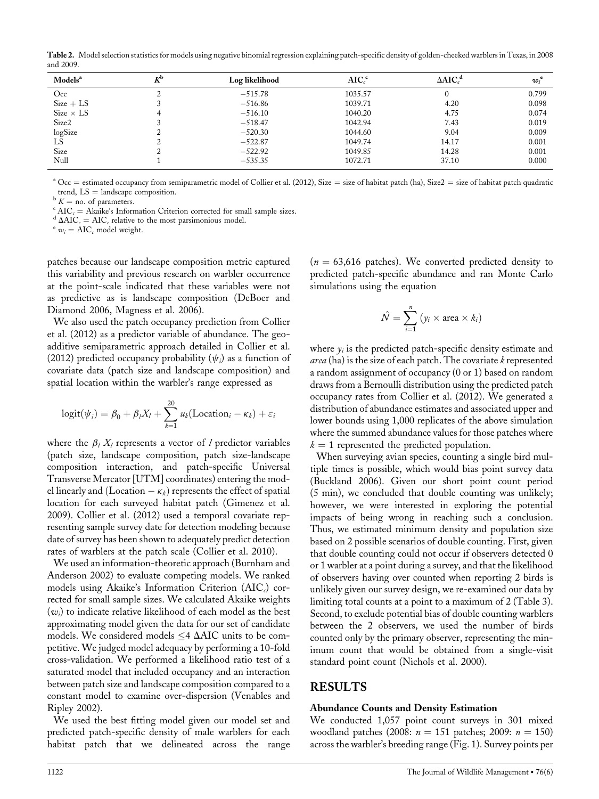Table 2. Model selection statistics for models using negative binomial regression explaining patch-specific density of golden-cheeked warblers in Texas, in 2008 and 2009.

| Models <sup>a</sup> | τÞ | Log likelihood | $AIC_c^c$ | $\triangle AIC_c^d$ | $w_i^e$ |
|---------------------|----|----------------|-----------|---------------------|---------|
| Occ                 |    | $-515.78$      | 1035.57   |                     | 0.799   |
| $Size + LS$         |    | $-516.86$      | 1039.71   | 4.20                | 0.098   |
| $Size \times LS$    |    | $-516.10$      | 1040.20   | 4.75                | 0.074   |
| Size2               |    | $-518.47$      | 1042.94   | 7.43                | 0.019   |
| logSize             |    | $-520.30$      | 1044.60   | 9.04                | 0.009   |
| LS                  |    | $-522.87$      | 1049.74   | 14.17               | 0.001   |
| Size                |    | $-522.92$      | 1049.85   | 14.28               | 0.001   |
| Null                |    | $-535.35$      | 1072.71   | 37.10               | 0.000   |

<sup>a</sup> Occ = estimated occupancy from semiparametric model of Collier et al. (2012), Size = size of habitat patch (ha), Size2 = size of habitat patch quadratic trend, LS = landscape composition.

 $K = \text{no. of parameters.}$ <br>  ${}^{\text{c}}$  AIC<sub>c</sub> = Akaike's Information Criterion corrected for small sample sizes. d  $\Delta AIC_c = AIC_c$  relative to the most parsimonious model.<br>
e  $w_i = AIC_c$  model weight.

patches because our landscape composition metric captured this variability and previous research on warbler occurrence at the point-scale indicated that these variables were not as predictive as is landscape composition (DeBoer and Diamond 2006, Magness et al. 2006).

We also used the patch occupancy prediction from Collier et al. (2012) as a predictor variable of abundance. The geoadditive semiparametric approach detailed in Collier et al. (2012) predicted occupancy probability  $(\psi_i)$  as a function of covariate data (patch size and landscape composition) and spatial location within the warbler's range expressed as

$$
logit(\psi_i) = \beta_0 + \beta_1 X_l + \sum_{k=1}^{20} u_k (Location_i - \kappa_k) + \varepsilon_i
$$

where the  $\beta_l X_l$  represents a vector of *l* predictor variables (patch size, landscape composition, patch size-landscape composition interaction, and patch-specific Universal Transverse Mercator [UTM] coordinates) entering the model linearly and (Location  $-\kappa_k$ ) represents the effect of spatial location for each surveyed habitat patch (Gimenez et al. 2009). Collier et al. (2012) used a temporal covariate representing sample survey date for detection modeling because date of survey has been shown to adequately predict detection rates of warblers at the patch scale (Collier et al. 2010).

We used an information-theoretic approach (Burnham and Anderson 2002) to evaluate competing models. We ranked models using Akaike's Information Criterion (AIC<sub>c</sub>) corrected for small sample sizes. We calculated Akaike weights  $(w_i)$  to indicate relative likelihood of each model as the best approximating model given the data for our set of candidate models. We considered models  $\leq$ 4  $\Delta$ AIC units to be competitive. We judged model adequacy by performing a 10-fold cross-validation. We performed a likelihood ratio test of a saturated model that included occupancy and an interaction between patch size and landscape composition compared to a constant model to examine over-dispersion (Venables and Ripley 2002).

We used the best fitting model given our model set and predicted patch-specific density of male warblers for each habitat patch that we delineated across the range

 $(n = 63,616$  patches). We converted predicted density to predicted patch-specific abundance and ran Monte Carlo simulations using the equation

$$
\hat{N} = \sum_{i=1}^{n} (y_i \times \text{area} \times k_i)
$$

where  $y_i$  is the predicted patch-specific density estimate and area (ha) is the size of each patch. The covariate k represented a random assignment of occupancy (0 or 1) based on random draws from a Bernoulli distribution using the predicted patch occupancy rates from Collier et al. (2012). We generated a distribution of abundance estimates and associated upper and lower bounds using 1,000 replicates of the above simulation where the summed abundance values for those patches where  $k = 1$  represented the predicted population.

When surveying avian species, counting a single bird multiple times is possible, which would bias point survey data (Buckland 2006). Given our short point count period (5 min), we concluded that double counting was unlikely; however, we were interested in exploring the potential impacts of being wrong in reaching such a conclusion. Thus, we estimated minimum density and population size based on 2 possible scenarios of double counting. First, given that double counting could not occur if observers detected 0 or 1 warbler at a point during a survey, and that the likelihood of observers having over counted when reporting 2 birds is unlikely given our survey design, we re-examined our data by limiting total counts at a point to a maximum of 2 (Table 3). Second, to exclude potential bias of double counting warblers between the 2 observers, we used the number of birds counted only by the primary observer, representing the minimum count that would be obtained from a single-visit standard point count (Nichols et al. 2000).

## RESULTS

#### Abundance Counts and Density Estimation

We conducted 1,057 point count surveys in 301 mixed woodland patches (2008:  $n = 151$  patches; 2009:  $n = 150$ ) across the warbler's breeding range (Fig. 1). Survey points per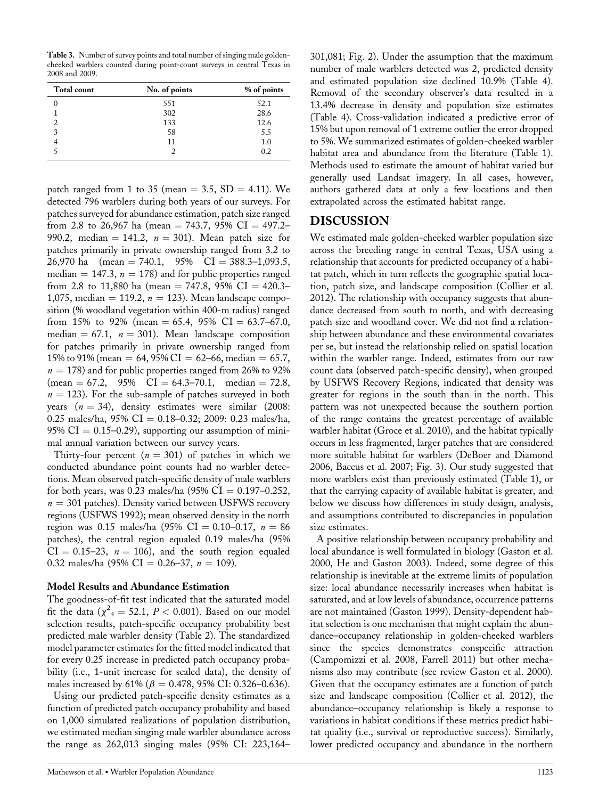Table 3. Number of survey points and total number of singing male goldencheeked warblers counted during point-count surveys in central Texas in 2008 and 2009.

| <b>Total count</b> | No. of points | % of points |
|--------------------|---------------|-------------|
|                    | 551           | 52.1        |
|                    | 302           | 28.6        |
| $\overline{2}$     | 133           | 12.6        |
| 3                  | 58            | 5.5         |
|                    | 11            | 1.0         |
|                    |               | 0.2         |

patch ranged from 1 to 35 (mean  $=$  3.5, SD  $=$  4.11). We detected 796 warblers during both years of our surveys. For patches surveyed for abundance estimation, patch size ranged from 2.8 to 26,967 ha (mean = 743.7, 95% CI = 497.2– 990.2, median = 141.2,  $n = 301$ ). Mean patch size for patches primarily in private ownership ranged from 3.2 to 26,970 ha  $(\text{mean} = 740.1, 95\% \text{ CI} = 388.3 - 1,093.5,$ median  $= 147.3$ ,  $n = 178$ ) and for public properties ranged from 2.8 to 11,880 ha (mean = 747.8, 95% CI = 420.3– 1,075, median = 119.2,  $n = 123$ ). Mean landscape composition (% woodland vegetation within 400-m radius) ranged from 15% to 92% (mean  $= 65.4$ , 95% CI  $= 63.7 - 67.0$ , median  $= 67.1$ ,  $n = 301$ ). Mean landscape composition for patches primarily in private ownership ranged from 15% to 91% (mean = 64, 95% CI = 62–66, median = 65.7,  $n = 178$ ) and for public properties ranged from 26% to 92%  $(\text{mean} = 67.2, 95\% \text{ CI} = 64.3-70.1, \text{median} = 72.8,$  $n = 123$ ). For the sub-sample of patches surveyed in both years  $(n = 34)$ , density estimates were similar (2008: 0.25 males/ha,  $95\%$  CI = 0.18–0.32; 2009: 0.23 males/ha, 95%  $CI = 0.15{\text -}0.29$ , supporting our assumption of minimal annual variation between our survey years.

Thirty-four percent ( $n = 301$ ) of patches in which we conducted abundance point counts had no warbler detections. Mean observed patch-specific density of male warblers for both years, was 0.23 males/ha  $(95\% \text{ CI} = 0.197 - 0.252)$ ,  $n = 301$  patches). Density varied between USFWS recovery regions (USFWS 1992); mean observed density in the north region was 0.15 males/ha (95% CI = 0.10–0.17,  $n = 86$ patches), the central region equaled 0.19 males/ha (95%  $CI = 0.15-23$ ,  $n = 106$ ), and the south region equaled 0.32 males/ha (95% CI = 0.26-37,  $n = 109$ ).

#### Model Results and Abundance Estimation

The goodness-of-fit test indicated that the saturated model fit the data ( $\chi^2$ <sub>4</sub> = 52.1, *P* < 0.001). Based on our model selection results, patch-specific occupancy probability best predicted male warbler density (Table 2). The standardized model parameter estimates for the fitted model indicated that for every 0.25 increase in predicted patch occupancy probability (i.e., 1-unit increase for scaled data), the density of males increased by 61% ( $\beta = 0.478, 95\%$  CI: 0.326–0.636).

Using our predicted patch-specific density estimates as a function of predicted patch occupancy probability and based on 1,000 simulated realizations of population distribution, we estimated median singing male warbler abundance across the range as 262,013 singing males (95% CI: 223,164– 301,081; Fig. 2). Under the assumption that the maximum number of male warblers detected was 2, predicted density and estimated population size declined 10.9% (Table 4). Removal of the secondary observer's data resulted in a 13.4% decrease in density and population size estimates (Table 4). Cross-validation indicated a predictive error of 15% but upon removal of 1 extreme outlier the error dropped to 5%. We summarized estimates of golden-cheeked warbler habitat area and abundance from the literature (Table 1). Methods used to estimate the amount of habitat varied but generally used Landsat imagery. In all cases, however, authors gathered data at only a few locations and then extrapolated across the estimated habitat range.

#### DISCUSSION

We estimated male golden-cheeked warbler population size across the breeding range in central Texas, USA using a relationship that accounts for predicted occupancy of a habitat patch, which in turn reflects the geographic spatial location, patch size, and landscape composition (Collier et al. 2012). The relationship with occupancy suggests that abundance decreased from south to north, and with decreasing patch size and woodland cover. We did not find a relationship between abundance and these environmental covariates per se, but instead the relationship relied on spatial location within the warbler range. Indeed, estimates from our raw count data (observed patch-specific density), when grouped by USFWS Recovery Regions, indicated that density was greater for regions in the south than in the north. This pattern was not unexpected because the southern portion of the range contains the greatest percentage of available warbler habitat (Groce et al. 2010), and the habitat typically occurs in less fragmented, larger patches that are considered more suitable habitat for warblers (DeBoer and Diamond 2006, Baccus et al. 2007; Fig. 3). Our study suggested that more warblers exist than previously estimated (Table 1), or that the carrying capacity of available habitat is greater, and below we discuss how differences in study design, analysis, and assumptions contributed to discrepancies in population size estimates.

A positive relationship between occupancy probability and local abundance is well formulated in biology (Gaston et al. 2000, He and Gaston 2003). Indeed, some degree of this relationship is inevitable at the extreme limits of population size: local abundance necessarily increases when habitat is saturated, and at low levels of abundance, occurrence patterns are not maintained (Gaston 1999). Density-dependent habitat selection is one mechanism that might explain the abundance–occupancy relationship in golden-cheeked warblers since the species demonstrates conspecific attraction (Campomizzi et al. 2008, Farrell 2011) but other mechanisms also may contribute (see review Gaston et al. 2000). Given that the occupancy estimates are a function of patch size and landscape composition (Collier et al. 2012), the abundance–occupancy relationship is likely a response to variations in habitat conditions if these metrics predict habitat quality (i.e., survival or reproductive success). Similarly, lower predicted occupancy and abundance in the northern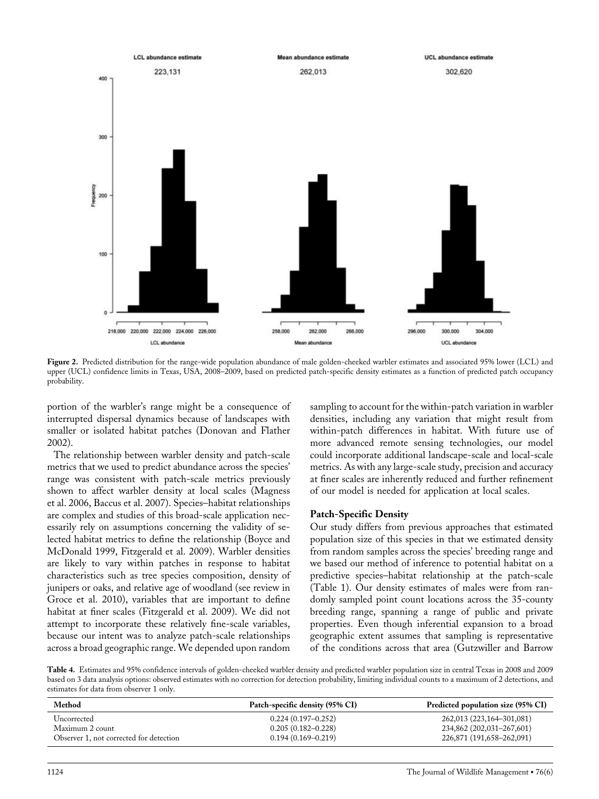

Figure 2. Predicted distribution for the range-wide population abundance of male golden-cheeked warbler estimates and associated 95% lower (LCL) and upper (UCL) confidence limits in Texas, USA, 2008–2009, based on predicted patch-specific density estimates as a function of predicted patch occupancy probability.

portion of the warbler's range might be a consequence of interrupted dispersal dynamics because of landscapes with smaller or isolated habitat patches (Donovan and Flather 2002).

The relationship between warbler density and patch-scale metrics that we used to predict abundance across the species' range was consistent with patch-scale metrics previously shown to affect warbler density at local scales (Magness et al. 2006, Baccus et al. 2007). Species–habitat relationships are complex and studies of this broad-scale application necessarily rely on assumptions concerning the validity of selected habitat metrics to define the relationship (Boyce and McDonald 1999, Fitzgerald et al. 2009). Warbler densities are likely to vary within patches in response to habitat characteristics such as tree species composition, density of junipers or oaks, and relative age of woodland (see review in Groce et al. 2010), variables that are important to define habitat at finer scales (Fitzgerald et al. 2009). We did not attempt to incorporate these relatively fine-scale variables, because our intent was to analyze patch-scale relationships across a broad geographic range. We depended upon random

sampling to account for the within-patch variation in warbler densities, including any variation that might result from within-patch differences in habitat. With future use of more advanced remote sensing technologies, our model could incorporate additional landscape-scale and local-scale metrics. As with any large-scale study, precision and accuracy at finer scales are inherently reduced and further refinement of our model is needed for application at local scales.

#### Patch-Specific Density

Our study differs from previous approaches that estimated population size of this species in that we estimated density from random samples across the species' breeding range and we based our method of inference to potential habitat on a predictive species–habitat relationship at the patch-scale (Table 1). Our density estimates of males were from randomly sampled point count locations across the 35-county breeding range, spanning a range of public and private properties. Even though inferential expansion to a broad geographic extent assumes that sampling is representative of the conditions across that area (Gutzwiller and Barrow

Table 4. Estimates and 95% confidence intervals of golden-cheeked warbler density and predicted warbler population size in central Texas in 2008 and 2009 based on 3 data analysis options: observed estimates with no correction for detection probability, limiting individual counts to a maximum of 2 detections, and estimates for data from observer 1 only.

| Method                                  | Patch-specific density (95% CI) | Predicted population size (95% CI) |
|-----------------------------------------|---------------------------------|------------------------------------|
| Uncorrected                             | $0.224(0.197-0.252)$            | 262,013 (223,164-301,081)          |
| Maximum 2 count                         | $0.205(0.182 - 0.228)$          | 234,862 (202,031-267,601)          |
| Observer 1, not corrected for detection | $0.194(0.169 - 0.219)$          | 226,871 (191,658–262,091)          |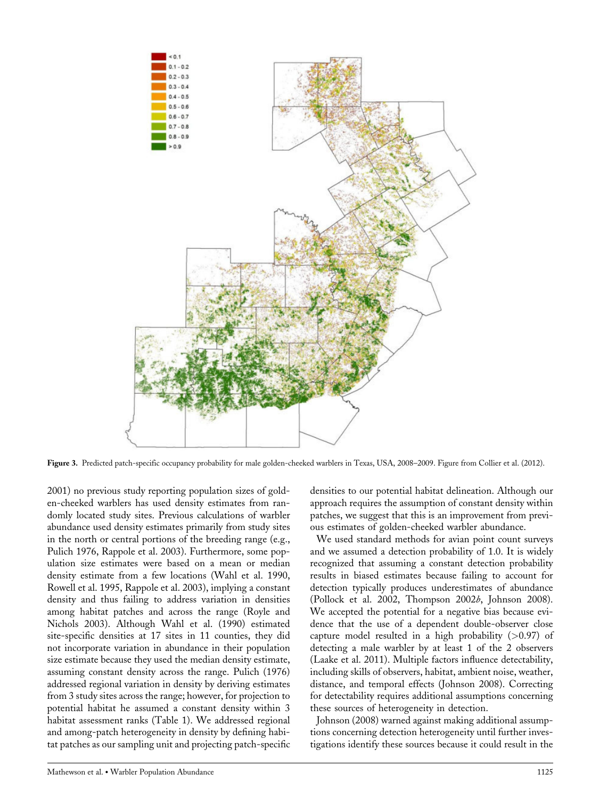

Figure 3. Predicted patch-specific occupancy probability for male golden-cheeked warblers in Texas, USA, 2008–2009. Figure from Collier et al. (2012).

2001) no previous study reporting population sizes of golden-cheeked warblers has used density estimates from randomly located study sites. Previous calculations of warbler abundance used density estimates primarily from study sites in the north or central portions of the breeding range (e.g., Pulich 1976, Rappole et al. 2003). Furthermore, some population size estimates were based on a mean or median density estimate from a few locations (Wahl et al. 1990, Rowell et al. 1995, Rappole et al. 2003), implying a constant density and thus failing to address variation in densities among habitat patches and across the range (Royle and Nichols 2003). Although Wahl et al. (1990) estimated site-specific densities at 17 sites in 11 counties, they did not incorporate variation in abundance in their population size estimate because they used the median density estimate, assuming constant density across the range. Pulich (1976) addressed regional variation in density by deriving estimates from 3 study sites across the range; however, for projection to potential habitat he assumed a constant density within 3 habitat assessment ranks (Table 1). We addressed regional and among-patch heterogeneity in density by defining habitat patches as our sampling unit and projecting patch-specific densities to our potential habitat delineation. Although our approach requires the assumption of constant density within patches, we suggest that this is an improvement from previous estimates of golden-cheeked warbler abundance.

We used standard methods for avian point count surveys and we assumed a detection probability of 1.0. It is widely recognized that assuming a constant detection probability results in biased estimates because failing to account for detection typically produces underestimates of abundance (Pollock et al. 2002, Thompson 2002b, Johnson 2008). We accepted the potential for a negative bias because evidence that the use of a dependent double-observer close capture model resulted in a high probability  $(>0.97)$  of detecting a male warbler by at least 1 of the 2 observers (Laake et al. 2011). Multiple factors influence detectability, including skills of observers, habitat, ambient noise, weather, distance, and temporal effects (Johnson 2008). Correcting for detectability requires additional assumptions concerning these sources of heterogeneity in detection.

Johnson (2008) warned against making additional assumptions concerning detection heterogeneity until further investigations identify these sources because it could result in the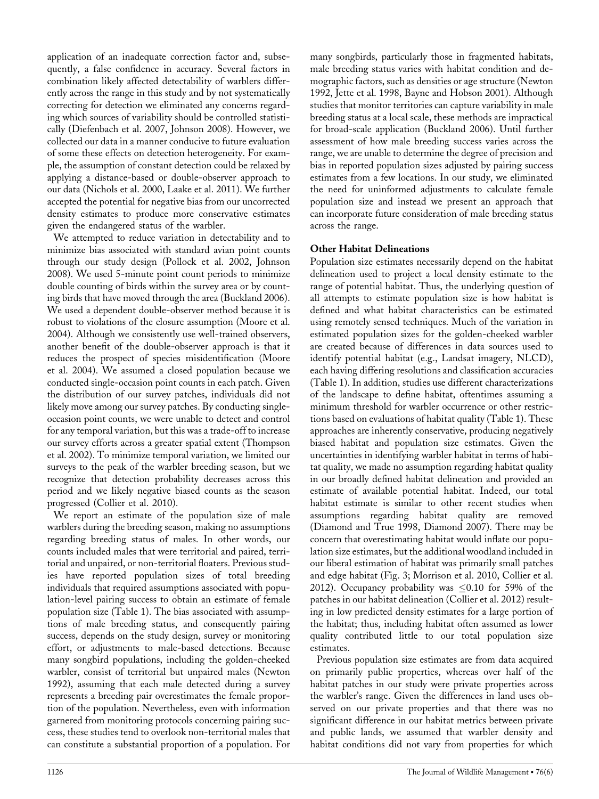application of an inadequate correction factor and, subsequently, a false confidence in accuracy. Several factors in combination likely affected detectability of warblers differently across the range in this study and by not systematically correcting for detection we eliminated any concerns regarding which sources of variability should be controlled statistically (Diefenbach et al. 2007, Johnson 2008). However, we collected our data in a manner conducive to future evaluation of some these effects on detection heterogeneity. For example, the assumption of constant detection could be relaxed by applying a distance-based or double-observer approach to our data (Nichols et al. 2000, Laake et al. 2011). We further accepted the potential for negative bias from our uncorrected density estimates to produce more conservative estimates given the endangered status of the warbler.

We attempted to reduce variation in detectability and to minimize bias associated with standard avian point counts through our study design (Pollock et al. 2002, Johnson 2008). We used 5-minute point count periods to minimize double counting of birds within the survey area or by counting birds that have moved through the area (Buckland 2006). We used a dependent double-observer method because it is robust to violations of the closure assumption (Moore et al. 2004). Although we consistently use well-trained observers, another benefit of the double-observer approach is that it reduces the prospect of species misidentification (Moore et al. 2004). We assumed a closed population because we conducted single-occasion point counts in each patch. Given the distribution of our survey patches, individuals did not likely move among our survey patches. By conducting singleoccasion point counts, we were unable to detect and control for any temporal variation, but this was a trade-off to increase our survey efforts across a greater spatial extent (Thompson et al. 2002). To minimize temporal variation, we limited our surveys to the peak of the warbler breeding season, but we recognize that detection probability decreases across this period and we likely negative biased counts as the season progressed (Collier et al. 2010).

We report an estimate of the population size of male warblers during the breeding season, making no assumptions regarding breeding status of males. In other words, our counts included males that were territorial and paired, territorial and unpaired, or non-territorial floaters. Previous studies have reported population sizes of total breeding individuals that required assumptions associated with population-level pairing success to obtain an estimate of female population size (Table 1). The bias associated with assumptions of male breeding status, and consequently pairing success, depends on the study design, survey or monitoring effort, or adjustments to male-based detections. Because many songbird populations, including the golden-cheeked warbler, consist of territorial but unpaired males (Newton 1992), assuming that each male detected during a survey represents a breeding pair overestimates the female proportion of the population. Nevertheless, even with information garnered from monitoring protocols concerning pairing success, these studies tend to overlook non-territorial males that can constitute a substantial proportion of a population. For

many songbirds, particularly those in fragmented habitats, male breeding status varies with habitat condition and demographic factors, such as densities or age structure (Newton 1992, Jette et al. 1998, Bayne and Hobson 2001). Although studies that monitor territories can capture variability in male breeding status at a local scale, these methods are impractical for broad-scale application (Buckland 2006). Until further assessment of how male breeding success varies across the range, we are unable to determine the degree of precision and bias in reported population sizes adjusted by pairing success estimates from a few locations. In our study, we eliminated the need for uninformed adjustments to calculate female population size and instead we present an approach that can incorporate future consideration of male breeding status across the range.

#### Other Habitat Delineations

Population size estimates necessarily depend on the habitat delineation used to project a local density estimate to the range of potential habitat. Thus, the underlying question of all attempts to estimate population size is how habitat is defined and what habitat characteristics can be estimated using remotely sensed techniques. Much of the variation in estimated population sizes for the golden-cheeked warbler are created because of differences in data sources used to identify potential habitat (e.g., Landsat imagery, NLCD), each having differing resolutions and classification accuracies (Table 1). In addition, studies use different characterizations of the landscape to define habitat, oftentimes assuming a minimum threshold for warbler occurrence or other restrictions based on evaluations of habitat quality (Table 1). These approaches are inherently conservative, producing negatively biased habitat and population size estimates. Given the uncertainties in identifying warbler habitat in terms of habitat quality, we made no assumption regarding habitat quality in our broadly defined habitat delineation and provided an estimate of available potential habitat. Indeed, our total habitat estimate is similar to other recent studies when assumptions regarding habitat quality are removed (Diamond and True 1998, Diamond 2007). There may be concern that overestimating habitat would inflate our population size estimates, but the additional woodland included in our liberal estimation of habitat was primarily small patches and edge habitat (Fig. 3; Morrison et al. 2010, Collier et al. 2012). Occupancy probability was  $\leq 0.10$  for 59% of the patches in our habitat delineation (Collier et al. 2012) resulting in low predicted density estimates for a large portion of the habitat; thus, including habitat often assumed as lower quality contributed little to our total population size estimates.

Previous population size estimates are from data acquired on primarily public properties, whereas over half of the habitat patches in our study were private properties across the warbler's range. Given the differences in land uses observed on our private properties and that there was no significant difference in our habitat metrics between private and public lands, we assumed that warbler density and habitat conditions did not vary from properties for which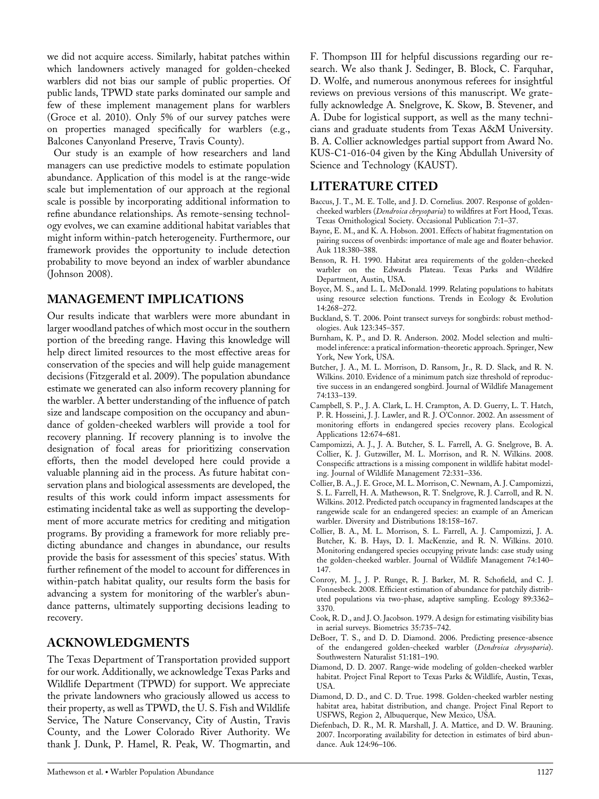we did not acquire access. Similarly, habitat patches within which landowners actively managed for golden-cheeked warblers did not bias our sample of public properties. Of public lands, TPWD state parks dominated our sample and few of these implement management plans for warblers (Groce et al. 2010). Only 5% of our survey patches were on properties managed specifically for warblers (e.g., Balcones Canyonland Preserve, Travis County).

Our study is an example of how researchers and land managers can use predictive models to estimate population abundance. Application of this model is at the range-wide scale but implementation of our approach at the regional scale is possible by incorporating additional information to refine abundance relationships. As remote-sensing technology evolves, we can examine additional habitat variables that might inform within-patch heterogeneity. Furthermore, our framework provides the opportunity to include detection probability to move beyond an index of warbler abundance (Johnson 2008).

## MANAGEMENT IMPLICATIONS

Our results indicate that warblers were more abundant in larger woodland patches of which most occur in the southern portion of the breeding range. Having this knowledge will help direct limited resources to the most effective areas for conservation of the species and will help guide management decisions (Fitzgerald et al. 2009). The population abundance estimate we generated can also inform recovery planning for the warbler. A better understanding of the influence of patch size and landscape composition on the occupancy and abundance of golden-cheeked warblers will provide a tool for recovery planning. If recovery planning is to involve the designation of focal areas for prioritizing conservation efforts, then the model developed here could provide a valuable planning aid in the process. As future habitat conservation plans and biological assessments are developed, the results of this work could inform impact assessments for estimating incidental take as well as supporting the development of more accurate metrics for crediting and mitigation programs. By providing a framework for more reliably predicting abundance and changes in abundance, our results provide the basis for assessment of this species' status. With further refinement of the model to account for differences in within-patch habitat quality, our results form the basis for advancing a system for monitoring of the warbler's abundance patterns, ultimately supporting decisions leading to recovery.

## ACKNOWLEDGMENTS

The Texas Department of Transportation provided support for our work. Additionally, we acknowledge Texas Parks and Wildlife Department (TPWD) for support. We appreciate the private landowners who graciously allowed us access to their property, as well as TPWD, the U. S. Fish and Wildlife Service, The Nature Conservancy, City of Austin, Travis County, and the Lower Colorado River Authority. We thank J. Dunk, P. Hamel, R. Peak, W. Thogmartin, and

F. Thompson III for helpful discussions regarding our research. We also thank J. Sedinger, B. Block, C. Farquhar, D. Wolfe, and numerous anonymous referees for insightful reviews on previous versions of this manuscript. We gratefully acknowledge A. Snelgrove, K. Skow, B. Stevener, and A. Dube for logistical support, as well as the many technicians and graduate students from Texas A&M University. B. A. Collier acknowledges partial support from Award No. KUS-C1-016-04 given by the King Abdullah University of Science and Technology (KAUST).

# LITERATURE CITED

- Baccus, J. T., M. E. Tolle, and J. D. Cornelius. 2007. Response of goldencheeked warblers (Dendroica chrysoparia) to wildfires at Fort Hood, Texas. Texas Ornithological Society. Occasional Publication 7:1–37.
- Bayne, E. M., and K. A. Hobson. 2001. Effects of habitat fragmentation on pairing success of ovenbirds: importance of male age and floater behavior. Auk 118:380–388.
- Benson, R. H. 1990. Habitat area requirements of the golden-cheeked warbler on the Edwards Plateau. Texas Parks and Wildfire Department, Austin, USA.
- Boyce, M. S., and L. L. McDonald. 1999. Relating populations to habitats using resource selection functions. Trends in Ecology & Evolution 14:268–272.
- Buckland, S. T. 2006. Point transect surveys for songbirds: robust methodologies. Auk 123:345–357.
- Burnham, K. P., and D. R. Anderson. 2002. Model selection and multimodel inference: a pratical information-theoretic approach. Springer, New York, New York, USA.
- Butcher, J. A., M. L. Morrison, D. Ransom, Jr., R. D. Slack, and R. N. Wilkins. 2010. Evidence of a minimum patch size threshold of reproductive success in an endangered songbird. Journal of Wildlife Management 74:133–139.
- Campbell, S. P., J. A. Clark, L. H. Crampton, A. D. Guerry, L. T. Hatch, P. R. Hosseini, J. J. Lawler, and R. J. O'Connor. 2002. An assessment of monitoring efforts in endangered species recovery plans. Ecological Applications 12:674–681.
- Campomizzi, A. J., J. A. Butcher, S. L. Farrell, A. G. Snelgrove, B. A. Collier, K. J. Gutzwiller, M. L. Morrison, and R. N. Wilkins. 2008. Conspecific attractions is a missing component in wildlife habitat modeling. Journal of Wildlife Management 72:331–336.
- Collier, B. A., J. E. Groce, M. L. Morrison, C. Newnam, A. J. Campomizzi, S. L. Farrell, H. A. Mathewson, R. T. Snelgrove, R. J. Carroll, and R. N. Wilkins. 2012. Predicted patch occupancy in fragmented landscapes at the rangewide scale for an endangered species: an example of an American warbler. Diversity and Distributions 18:158–167.
- Collier, B. A., M. L. Morrison, S. L. Farrell, A. J. Campomizzi, J. A. Butcher, K. B. Hays, D. I. MacKenzie, and R. N. Wilkins. 2010. Monitoring endangered species occupying private lands: case study using the golden-cheeked warbler. Journal of Wildlife Management 74:140– 147.
- Conroy, M. J., J. P. Runge, R. J. Barker, M. R. Schofield, and C. J. Fonnesbeck. 2008. Efficient estimation of abundance for patchily distributed populations via two-phase, adaptive sampling. Ecology 89:3362– 3370.
- Cook, R. D., and J. O. Jacobson. 1979. A design for estimating visibility bias in aerial surveys. Biometrics 35:735–742.
- DeBoer, T. S., and D. D. Diamond. 2006. Predicting presence-absence of the endangered golden-cheeked warbler (Dendroica chrysoparia). Southwestern Naturalist 51:181–190.
- Diamond, D. D. 2007. Range-wide modeling of golden-cheeked warbler habitat. Project Final Report to Texas Parks & Wildlife, Austin, Texas, USA.
- Diamond, D. D., and C. D. True. 1998. Golden-cheeked warbler nesting habitat area, habitat distribution, and change. Project Final Report to USFWS, Region 2, Albuquerque, New Mexico, USA.
- Diefenbach, D. R., M. R. Marshall, J. A. Mattice, and D. W. Brauning. 2007. Incorporating availability for detection in estimates of bird abundance. Auk 124:96–106.